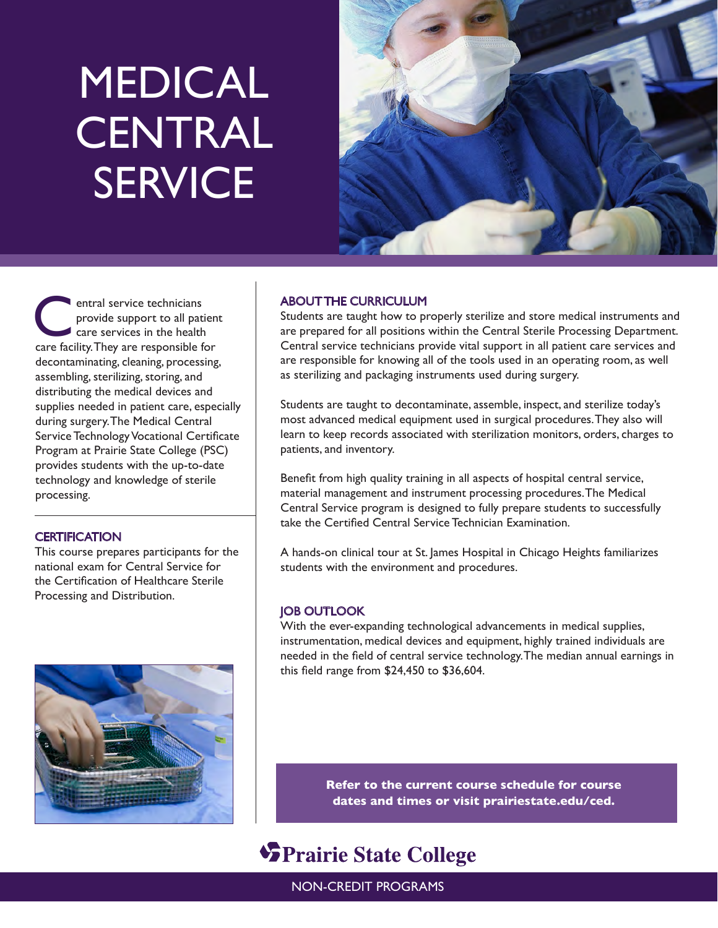# MEDICAL **CENTRAL SERVICE**



entral service technicians<br>
provide support to all patie<br>
care services in the health<br>
care for the ware responsible for provide support to all patient care facility. They are responsible for decontaminating, cleaning, processing, assembling, sterilizing, storing, and distributing the medical devices and supplies needed in patient care, especially during surgery. The Medical Central Service Technology Vocational Certificate Program at Prairie State College (PSC) provides students with the up-to-date technology and knowledge of sterile processing.

# **CERTIFICATION**

This course prepares participants for the national exam for Central Service for the Certification of Healthcare Sterile Processing and Distribution.



# ABOUT THE CURRICULUM

Students are taught how to properly sterilize and store medical instruments and are prepared for all positions within the Central Sterile Processing Department. Central service technicians provide vital support in all patient care services and are responsible for knowing all of the tools used in an operating room, as well as sterilizing and packaging instruments used during surgery.

Students are taught to decontaminate, assemble, inspect, and sterilize today's most advanced medical equipment used in surgical procedures. They also will learn to keep records associated with sterilization monitors, orders, charges to patients, and inventory.

Benefit from high quality training in all aspects of hospital central service, material management and instrument processing procedures. The Medical Central Service program is designed to fully prepare students to successfully take the Certified Central Service Technician Examination.

A hands-on clinical tour at St. James Hospital in Chicago Heights familiarizes students with the environment and procedures.

# JOB OUTLOOK

With the ever-expanding technological advancements in medical supplies, instrumentation, medical devices and equipment, highly trained individuals are needed in the field of central service technology. The median annual earnings in this field range from \$24,450 to \$36,604.

> **Refer to the current course schedule for course dates and times or visit prairiestate.edu/ced.**

# **SPrairie State College**

NON-CREDIT PROGRAMS